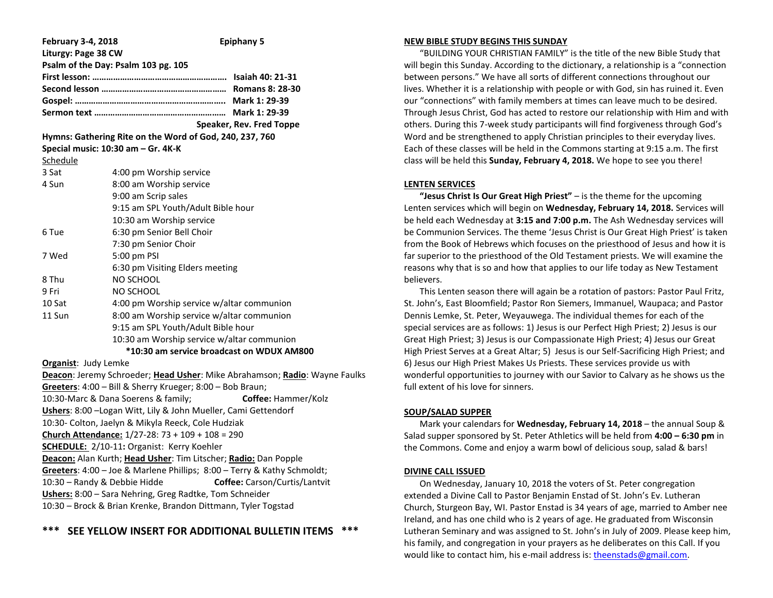| <b>February 3-4, 2018</b> | <b>Epiphany 5</b>                                                          |  |  |
|---------------------------|----------------------------------------------------------------------------|--|--|
| Liturgy: Page 38 CW       | Psalm of the Day: Psalm 103 pg. 105                                        |  |  |
|                           |                                                                            |  |  |
|                           |                                                                            |  |  |
|                           |                                                                            |  |  |
|                           |                                                                            |  |  |
|                           | Speaker, Rev. Fred Toppe                                                   |  |  |
|                           | Hymns: Gathering Rite on the Word of God, 240, 237, 760                    |  |  |
|                           | Special music: 10:30 am - Gr. 4K-K                                         |  |  |
| Schedule                  |                                                                            |  |  |
| 3 Sat                     | 4:00 pm Worship service                                                    |  |  |
| 4 Sun                     | 8:00 am Worship service                                                    |  |  |
|                           | 9:00 am Scrip sales                                                        |  |  |
|                           | 9:15 am SPL Youth/Adult Bible hour                                         |  |  |
|                           | 10:30 am Worship service                                                   |  |  |
| 6 Tue                     | 6:30 pm Senior Bell Choir                                                  |  |  |
|                           | 7:30 pm Senior Choir                                                       |  |  |
| 7 Wed                     | 5:00 pm PSI                                                                |  |  |
|                           | 6:30 pm Visiting Elders meeting                                            |  |  |
| 8 Thu                     | NO SCHOOL                                                                  |  |  |
| 9 Fri                     | NO SCHOOL                                                                  |  |  |
| 10 Sat                    | 4:00 pm Worship service w/altar communion                                  |  |  |
| 11 Sun                    | 8:00 am Worship service w/altar communion                                  |  |  |
|                           | 9:15 am SPL Youth/Adult Bible hour                                         |  |  |
|                           | 10:30 am Worship service w/altar communion                                 |  |  |
|                           | *10:30 am service broadcast on WDUX AM800                                  |  |  |
| Organist: Judy Lemke      |                                                                            |  |  |
|                           | Deacon: Jeremy Schroeder; Head Usher: Mike Abrahamson; Radio: Wayne Faulks |  |  |
|                           | Greeters: 4:00 - Bill & Sherry Krueger; 8:00 - Bob Braun;                  |  |  |
|                           | 10:30-Marc & Dana Soerens & family;<br>Coffee: Hammer/Kolz                 |  |  |
|                           | Ushers: 8:00 - Logan Witt, Lily & John Mueller, Cami Gettendorf            |  |  |
|                           | 10:30- Colton, Jaelyn & Mikyla Reeck, Cole Hudziak                         |  |  |
|                           | Church Attendance: 1/27-28: 73 + 109 + 108 = 290                           |  |  |
|                           | SCHEDULE: 2/10-11: Organist: Kerry Koehler                                 |  |  |
|                           | Deacon: Alan Kurth; Head Usher: Tim Litscher; Radio: Dan Popple            |  |  |
|                           | Greeters: 4:00 - Joe & Marlene Phillips; 8:00 - Terry & Kathy Schmoldt;    |  |  |
|                           | Coffee: Carson/Curtis/Lantvit<br>10:30 - Randy & Debbie Hidde              |  |  |
|                           | Ushers: 8:00 - Sara Nehring, Greg Radtke, Tom Schneider                    |  |  |
|                           | 10:30 - Brock & Brian Krenke, Brandon Dittmann, Tyler Togstad              |  |  |

# **SEE YELLOW INSERT FOR ADDITIONAL BULLETIN ITEMS**

#### **NEW BIBLE STUDY BEGINS THIS SUNDAY**

 "BUILDING YOUR CHRISTIAN FAMILY" is the title of the new Bible Study that will begin this Sunday. According to the dictionary, a relationship is a "connection between persons." We have all sorts of different connections throughout our lives. Whether it is a relationship with people or with God, sin has ruined it. Even our "connections" with family members at times can leave much to be desired. Through Jesus Christ, God has acted to restore our relationship with Him and with others. During this 7-week study participants will find forgiveness through God's Word and be strengthened to apply Christian principles to their everyday lives. Each of these classes will be held in the Commons starting at 9:15 a.m. The first class will be held this **Sunday, February 4, 2018.** We hope to see you there!

### **LENTEN SERVICES**

 **"Jesus Christ Is Our Great High Priest"** – is the theme for the upcoming Lenten services which will begin on **Wednesday, February 14, 2018.** Services will be held each Wednesday at **3:15 and 7:00 p.m.** The Ash Wednesday services will be Communion Services. The theme 'Jesus Christ is Our Great High Priest' is taken from the Book of Hebrews which focuses on the priesthood of Jesus and how it is far superior to the priesthood of the Old Testament priests. We will examine the reasons why that is so and how that applies to our life today as New Testament believers.

 This Lenten season there will again be a rotation of pastors: Pastor Paul Fritz, St. John's, East Bloomfield; Pastor Ron Siemers, Immanuel, Waupaca; and Pastor Dennis Lemke, St. Peter, Weyauwega. The individual themes for each of the special services are as follows: 1) Jesus is our Perfect High Priest; 2) Jesus is our Great High Priest; 3) Jesus is our Compassionate High Priest; 4) Jesus our Great High Priest Serves at a Great Altar; 5) Jesus is our Self-Sacrificing High Priest; and 6) Jesus our High Priest Makes Us Priests. These services provide us with wonderful opportunities to journey with our Savior to Calvary as he shows us the full extent of his love for sinners.

### **SOUP/SALAD SUPPER**

 Mark your calendars for **Wednesday, February 14, 2018** – the annual Soup & Salad supper sponsored by St. Peter Athletics will be held from **4:00 – 6:30 pm** in the Commons. Come and enjoy a warm bowl of delicious soup, salad & bars!

### **DIVINE CALL ISSUED**

 On Wednesday, January 10, 2018 the voters of St. Peter congregation extended a Divine Call to Pastor Benjamin Enstad of St. John's Ev. Lutheran Church, Sturgeon Bay, WI. Pastor Enstad is 34 years of age, married to Amber nee Ireland, and has one child who is 2 years of age. He graduated from Wisconsin Lutheran Seminary and was assigned to St. John's in July of 2009. Please keep him, his family, and congregation in your prayers as he deliberates on this Call. If you would like to contact him, his e-mail address is: [theenstads@gmail.com.](mailto:theenstads@gmail.com)